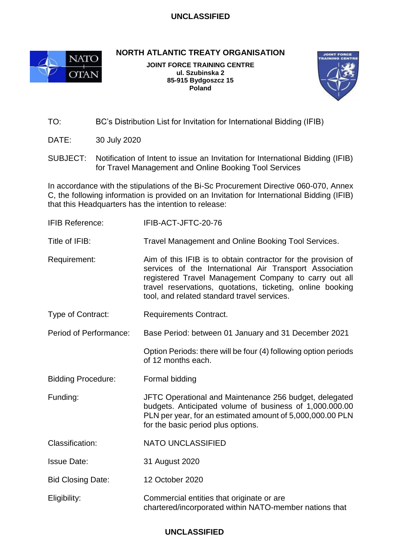## **UNCLASSIFIED**



**NORTH ATLANTIC TREATY ORGANISATION**

**JOINT FORCE TRAINING CENTRE ul. Szubinska 2 85-915 Bydgoszcz 15 Poland**



TO: BC's Distribution List for Invitation for International Bidding (IFIB)

DATE: 30 July 2020

SUBJECT: Notification of Intent to issue an Invitation for International Bidding (IFIB) for Travel Management and Online Booking Tool Services

In accordance with the stipulations of the Bi-Sc Procurement Directive 060-070, Annex C, the following information is provided on an Invitation for International Bidding (IFIB) that this Headquarters has the intention to release:

| <b>IFIB Reference:</b>    | IFIB-ACT-JFTC-20-76                                                                                                                                                                                                                                                                            |  |  |
|---------------------------|------------------------------------------------------------------------------------------------------------------------------------------------------------------------------------------------------------------------------------------------------------------------------------------------|--|--|
| Title of IFIB:            | Travel Management and Online Booking Tool Services.                                                                                                                                                                                                                                            |  |  |
| Requirement:              | Aim of this IFIB is to obtain contractor for the provision of<br>services of the International Air Transport Association<br>registered Travel Management Company to carry out all<br>travel reservations, quotations, ticketing, online booking<br>tool, and related standard travel services. |  |  |
| Type of Contract:         | <b>Requirements Contract.</b>                                                                                                                                                                                                                                                                  |  |  |
| Period of Performance:    | Base Period: between 01 January and 31 December 2021                                                                                                                                                                                                                                           |  |  |
|                           | Option Periods: there will be four (4) following option periods<br>of 12 months each.                                                                                                                                                                                                          |  |  |
| <b>Bidding Procedure:</b> | Formal bidding                                                                                                                                                                                                                                                                                 |  |  |
|                           | JFTC Operational and Maintenance 256 budget, delegated<br>budgets. Anticipated volume of business of 1,000.000.00<br>PLN per year, for an estimated amount of 5,000,000.00 PLN<br>for the basic period plus options.                                                                           |  |  |
| Funding:                  |                                                                                                                                                                                                                                                                                                |  |  |
| Classification:           | <b>NATO UNCLASSIFIED</b>                                                                                                                                                                                                                                                                       |  |  |
| <b>Issue Date:</b>        | 31 August 2020                                                                                                                                                                                                                                                                                 |  |  |
| <b>Bid Closing Date:</b>  | 12 October 2020                                                                                                                                                                                                                                                                                |  |  |

## **UNCLASSIFIED**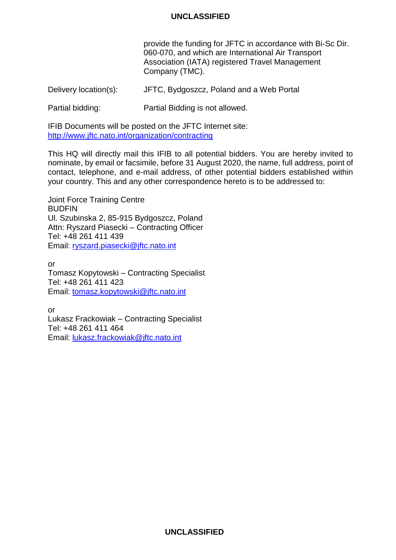## **UNCLASSIFIED**

provide the funding for JFTC in accordance with Bi-Sc Dir. 060-070, and which are International Air Transport Association (IATA) registered Travel Management Company (TMC).

Delivery location(s): JFTC, Bydgoszcz, Poland and a Web Portal

Partial bidding: Partial Bidding is not allowed.

IFIB Documents will be posted on the JFTC Internet site: <http://www.jftc.nato.int/organization/contracting>

This HQ will directly mail this IFIB to all potential bidders. You are hereby invited to nominate, by email or facsimile, before 31 August 2020, the name, full address, point of contact, telephone, and e-mail address, of other potential bidders established within your country. This and any other correspondence hereto is to be addressed to:

Joint Force Training Centre **BUDFIN** Ul. Szubinska 2, 85-915 Bydgoszcz, Poland Attn: Ryszard Piasecki – Contracting Officer Tel: +48 261 411 439 Email: [ryszard.piasecki@jftc.nato.int](mailto:ryszard.piasecki@jftc.nato.int)

or Tomasz Kopytowski – Contracting Specialist Tel: +48 261 411 423 Email: [tomasz.kopytowski@jftc.nato.int](mailto:tomasz.kopytowski@jftc.nato.int)

or Lukasz Frackowiak – Contracting Specialist Tel: +48 261 411 464 Email: [lukasz.frackowiak@jftc.nato.int](mailto:lukasz.frackowiak@jftc.nato.int)